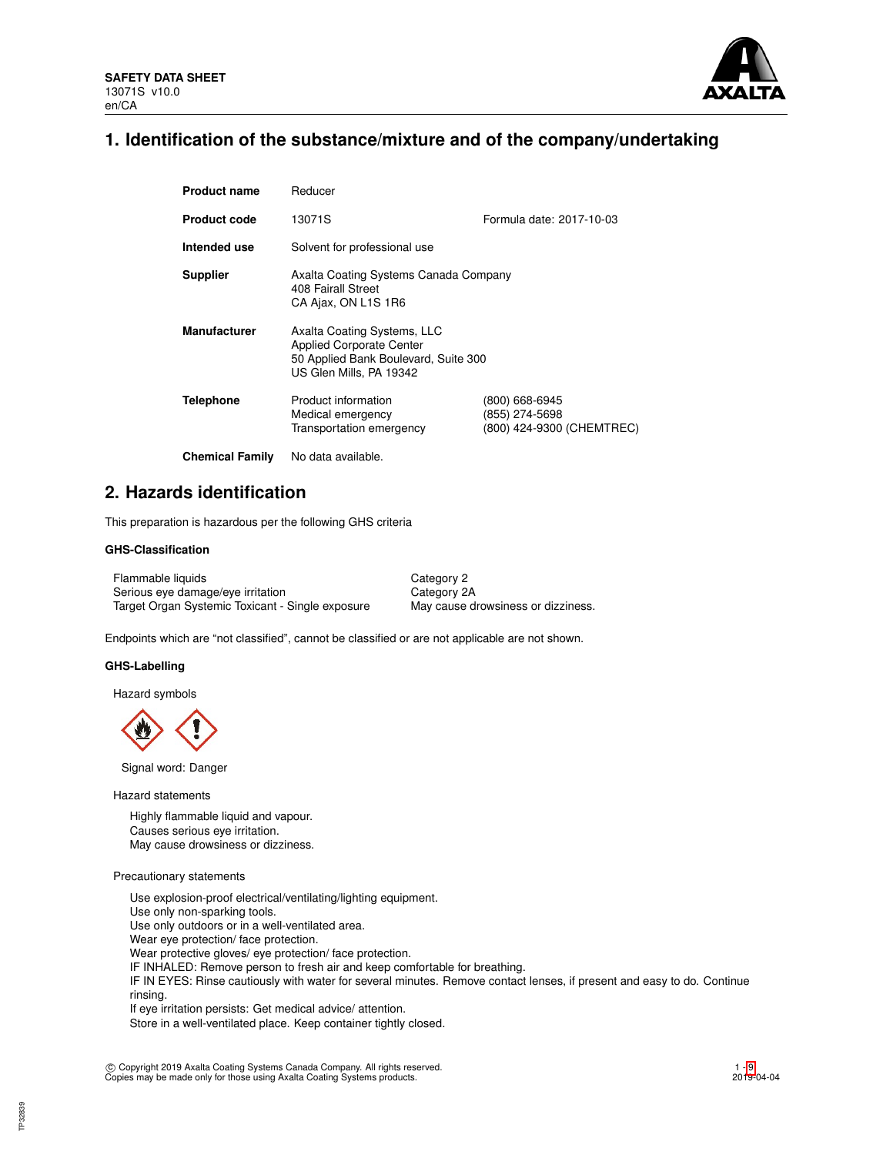

## **1. Identification of the substance/mixture and of the company/undertaking**

| <b>Product name</b>    | Reducer                                                                                                                           |                                                               |  |  |  |
|------------------------|-----------------------------------------------------------------------------------------------------------------------------------|---------------------------------------------------------------|--|--|--|
| <b>Product code</b>    | 13071S                                                                                                                            | Formula date: 2017-10-03                                      |  |  |  |
| Intended use           | Solvent for professional use                                                                                                      |                                                               |  |  |  |
| <b>Supplier</b>        | Axalta Coating Systems Canada Company<br>408 Fairall Street<br>CA Ajax, ON L1S 1R6                                                |                                                               |  |  |  |
| <b>Manufacturer</b>    | Axalta Coating Systems, LLC<br><b>Applied Corporate Center</b><br>50 Applied Bank Boulevard, Suite 300<br>US Glen Mills, PA 19342 |                                                               |  |  |  |
| <b>Telephone</b>       | Product information<br>Medical emergency<br>Transportation emergency                                                              | (800) 668-6945<br>(855) 274-5698<br>(800) 424-9300 (CHEMTREC) |  |  |  |
| <b>Chemical Family</b> | No data available.                                                                                                                |                                                               |  |  |  |

## **2. Hazards identification**

This preparation is hazardous per the following GHS criteria

### **GHS-Classification**

Flammable liquids Category 2 Serious eye damage/eye irritation Category 2A Target Organ Systemic Toxicant - Single exposure May cause drowsiness or dizziness.

Endpoints which are "not classified", cannot be classified or are not applicable are not shown.

#### **GHS-Labelling**

Hazard symbols

Signal word: Danger

Hazard statements

Highly flammable liquid and vapour. Causes serious eye irritation. May cause drowsiness or dizziness.

#### Precautionary statements

Use explosion-proof electrical/ventilating/lighting equipment. Use only non-sparking tools. Use only outdoors or in a well-ventilated area. Wear eye protection/ face protection. Wear protective gloves/ eye protection/ face protection. IF INHALED: Remove person to fresh air and keep comfortable for breathing. IF IN EYES: Rinse cautiously with water for several minutes. Remove contact lenses, if present and easy to do. Continue rinsing. If eye irritation persists: Get medical advice/ attention. Store in a well-ventilated place. Keep container tightly closed.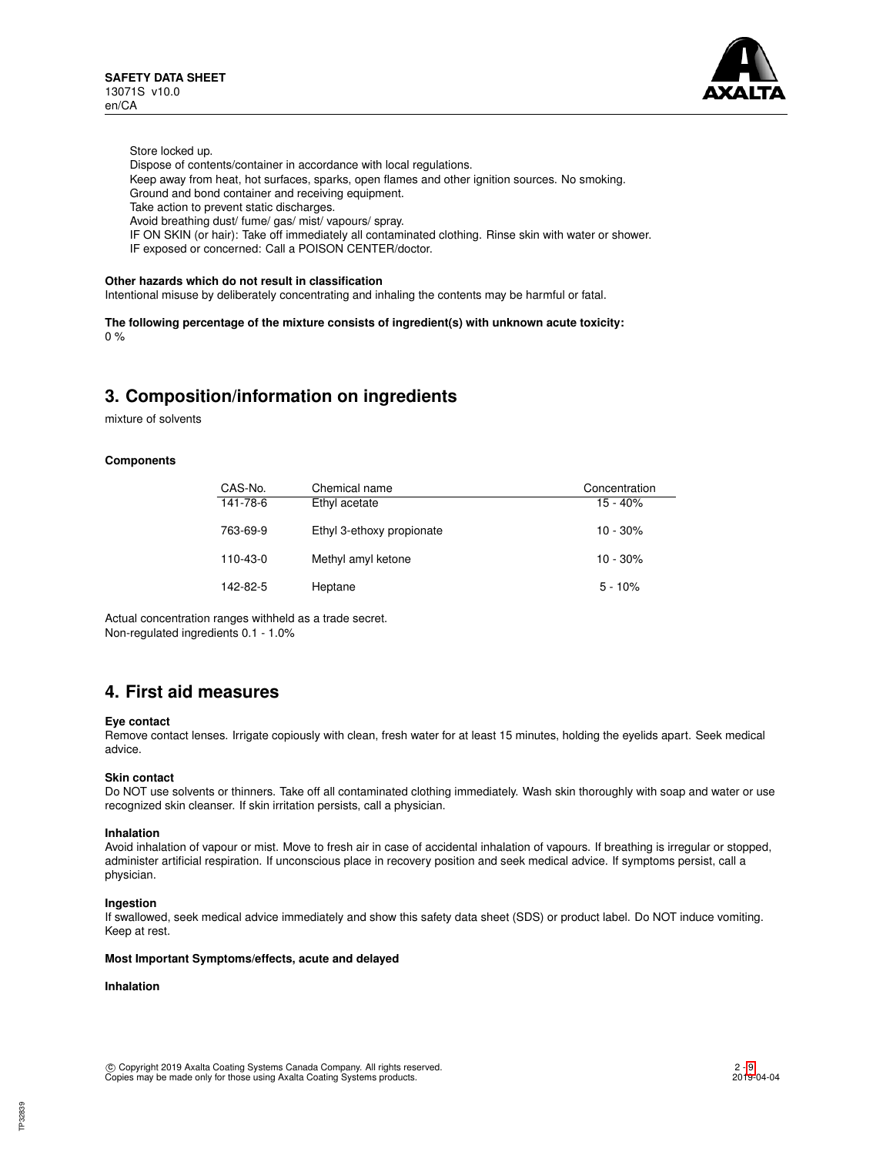

Store locked up.

Dispose of contents/container in accordance with local regulations.

Keep away from heat, hot surfaces, sparks, open flames and other ignition sources. No smoking.

Ground and bond container and receiving equipment.

Take action to prevent static discharges.

Avoid breathing dust/ fume/ gas/ mist/ vapours/ spray.

IF ON SKIN (or hair): Take off immediately all contaminated clothing. Rinse skin with water or shower.

IF exposed or concerned: Call a POISON CENTER/doctor.

### **Other hazards which do not result in classification**

Intentional misuse by deliberately concentrating and inhaling the contents may be harmful or fatal.

**The following percentage of the mixture consists of ingredient(s) with unknown acute toxicity:**  $0%$ 

## **3. Composition/information on ingredients**

mixture of solvents

#### **Components**

| CAS-No.        | Chemical name             | Concentration |
|----------------|---------------------------|---------------|
| $141 - 78 - 6$ | Ethyl acetate             | $15 - 40%$    |
| 763-69-9       | Ethyl 3-ethoxy propionate | $10 - 30%$    |
| $110 - 43 - 0$ | Methyl amyl ketone        | $10 - 30%$    |
| 142-82-5       | Heptane                   | $5 - 10%$     |

Actual concentration ranges withheld as a trade secret. Non-regulated ingredients 0.1 - 1.0%

## **4. First aid measures**

#### **Eye contact**

Remove contact lenses. Irrigate copiously with clean, fresh water for at least 15 minutes, holding the eyelids apart. Seek medical advice.

#### **Skin contact**

Do NOT use solvents or thinners. Take off all contaminated clothing immediately. Wash skin thoroughly with soap and water or use recognized skin cleanser. If skin irritation persists, call a physician.

#### **Inhalation**

Avoid inhalation of vapour or mist. Move to fresh air in case of accidental inhalation of vapours. If breathing is irregular or stopped, administer artificial respiration. If unconscious place in recovery position and seek medical advice. If symptoms persist, call a physician.

#### **Ingestion**

If swallowed, seek medical advice immediately and show this safety data sheet (SDS) or product label. Do NOT induce vomiting. Keep at rest.

#### **Most Important Symptoms/effects, acute and delayed**

## **Inhalation**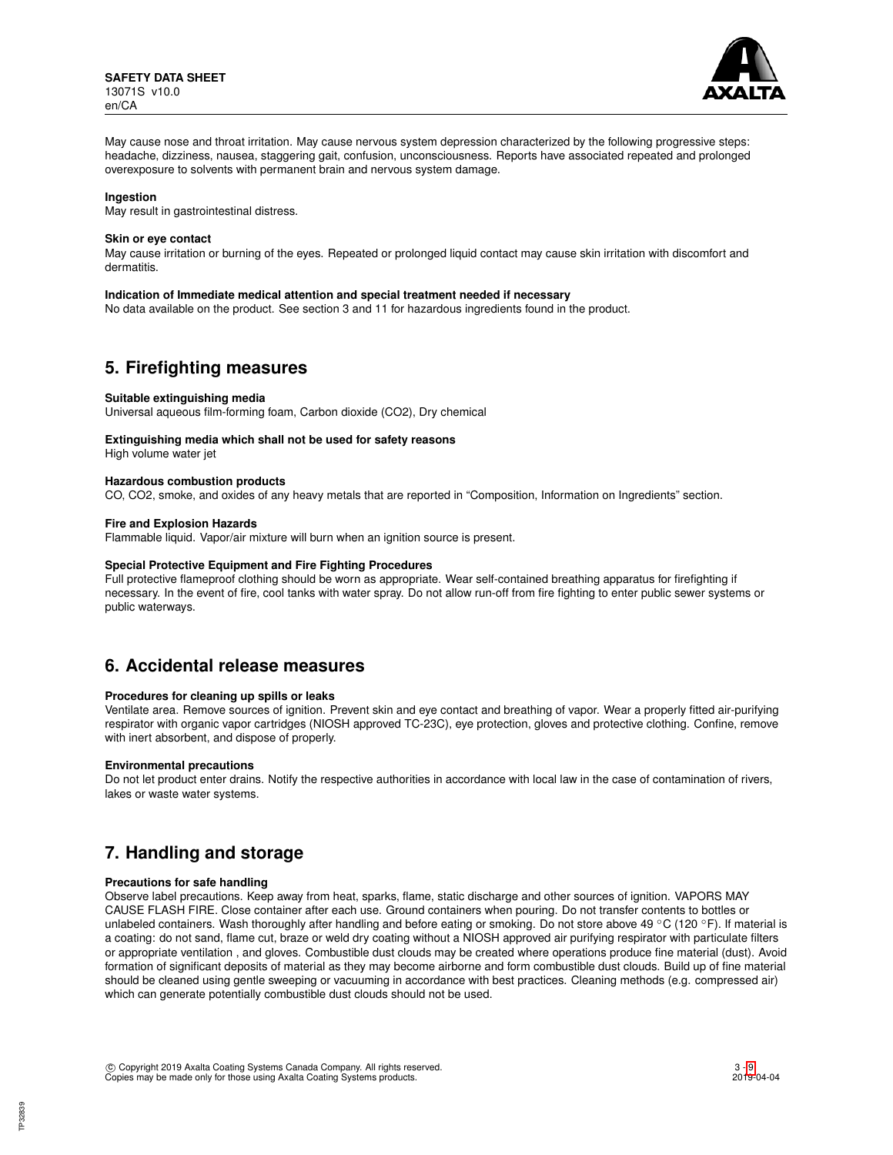

May cause nose and throat irritation. May cause nervous system depression characterized by the following progressive steps: headache, dizziness, nausea, staggering gait, confusion, unconsciousness. Reports have associated repeated and prolonged overexposure to solvents with permanent brain and nervous system damage.

#### **Ingestion**

May result in gastrointestinal distress.

#### **Skin or eye contact**

May cause irritation or burning of the eyes. Repeated or prolonged liquid contact may cause skin irritation with discomfort and dermatitis.

#### **Indication of Immediate medical attention and special treatment needed if necessary**

No data available on the product. See section 3 and 11 for hazardous ingredients found in the product.

## **5. Firefighting measures**

#### **Suitable extinguishing media**

Universal aqueous film-forming foam, Carbon dioxide (CO2), Dry chemical

## **Extinguishing media which shall not be used for safety reasons**

High volume water jet

### **Hazardous combustion products**

CO, CO2, smoke, and oxides of any heavy metals that are reported in "Composition, Information on Ingredients" section.

### **Fire and Explosion Hazards**

Flammable liquid. Vapor/air mixture will burn when an ignition source is present.

#### **Special Protective Equipment and Fire Fighting Procedures**

Full protective flameproof clothing should be worn as appropriate. Wear self-contained breathing apparatus for firefighting if necessary. In the event of fire, cool tanks with water spray. Do not allow run-off from fire fighting to enter public sewer systems or public waterways.

## **6. Accidental release measures**

#### **Procedures for cleaning up spills or leaks**

Ventilate area. Remove sources of ignition. Prevent skin and eye contact and breathing of vapor. Wear a properly fitted air-purifying respirator with organic vapor cartridges (NIOSH approved TC-23C), eye protection, gloves and protective clothing. Confine, remove with inert absorbent, and dispose of properly.

#### **Environmental precautions**

Do not let product enter drains. Notify the respective authorities in accordance with local law in the case of contamination of rivers, lakes or waste water systems.

## **7. Handling and storage**

#### **Precautions for safe handling**

Observe label precautions. Keep away from heat, sparks, flame, static discharge and other sources of ignition. VAPORS MAY CAUSE FLASH FIRE. Close container after each use. Ground containers when pouring. Do not transfer contents to bottles or unlabeled containers. Wash thoroughly after handling and before eating or smoking. Do not store above 49 °C (120 °F). If material is a coating: do not sand, flame cut, braze or weld dry coating without a NIOSH approved air purifying respirator with particulate filters or appropriate ventilation , and gloves. Combustible dust clouds may be created where operations produce fine material (dust). Avoid formation of significant deposits of material as they may become airborne and form combustible dust clouds. Build up of fine material should be cleaned using gentle sweeping or vacuuming in accordance with best practices. Cleaning methods (e.g. compressed air) which can generate potentially combustible dust clouds should not be used.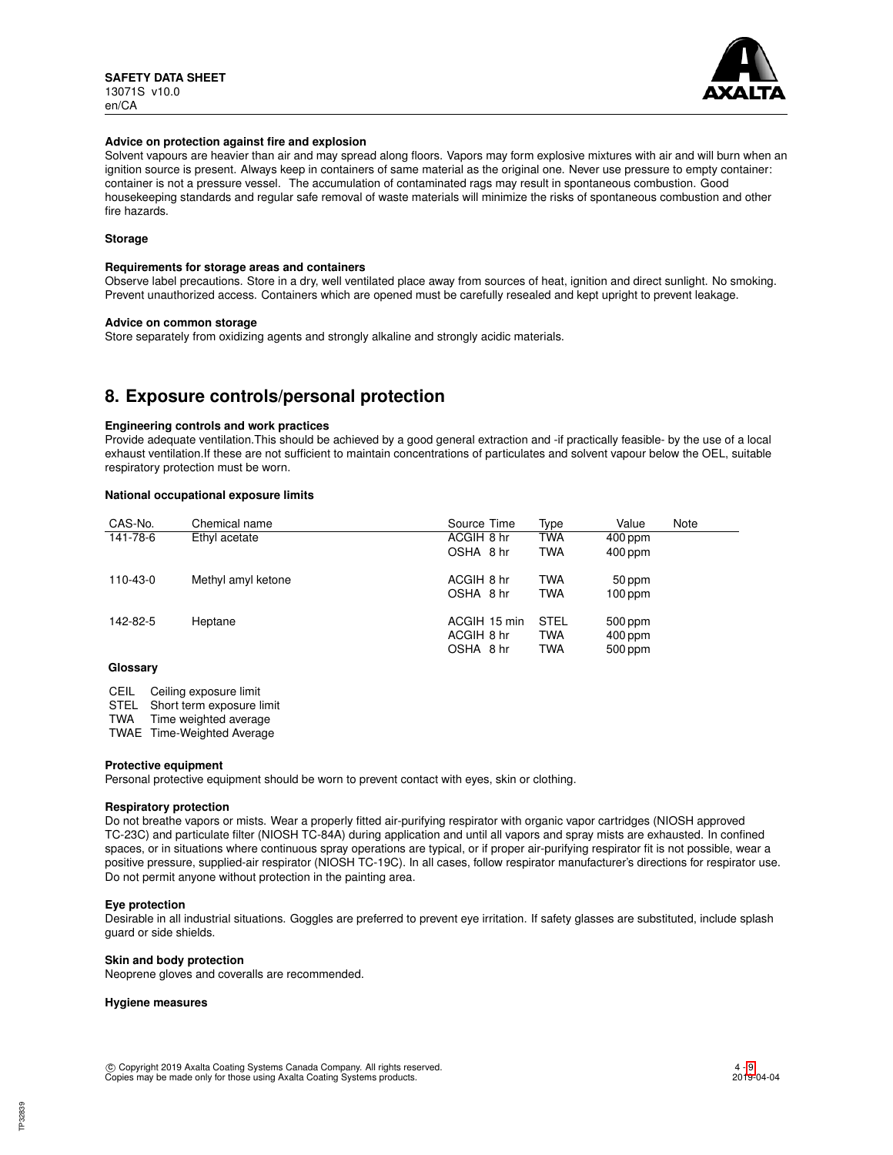

#### **Advice on protection against fire and explosion**

Solvent vapours are heavier than air and may spread along floors. Vapors may form explosive mixtures with air and will burn when an ignition source is present. Always keep in containers of same material as the original one. Never use pressure to empty container: container is not a pressure vessel. The accumulation of contaminated rags may result in spontaneous combustion. Good housekeeping standards and regular safe removal of waste materials will minimize the risks of spontaneous combustion and other fire hazards.

### **Storage**

#### **Requirements for storage areas and containers**

Observe label precautions. Store in a dry, well ventilated place away from sources of heat, ignition and direct sunlight. No smoking. Prevent unauthorized access. Containers which are opened must be carefully resealed and kept upright to prevent leakage.

#### **Advice on common storage**

Store separately from oxidizing agents and strongly alkaline and strongly acidic materials.

## **8. Exposure controls/personal protection**

#### **Engineering controls and work practices**

Provide adequate ventilation.This should be achieved by a good general extraction and -if practically feasible- by the use of a local exhaust ventilation.If these are not sufficient to maintain concentrations of particulates and solvent vapour below the OEL, suitable respiratory protection must be worn.

#### **National occupational exposure limits**

| CAS-No.             | Chemical name      | Source Time  | Type        | Value     | Note |
|---------------------|--------------------|--------------|-------------|-----------|------|
| 141-78-6            | Ethyl acetate      | ACGIH 8 hr   | TWA         | $400$ ppm |      |
|                     |                    | OSHA 8 hr    | <b>TWA</b>  | 400 ppm   |      |
| 110-43-0            | Methyl amyl ketone | ACGIH 8 hr   | <b>TWA</b>  | 50 ppm    |      |
|                     |                    | OSHA 8 hr    | <b>TWA</b>  | $100$ ppm |      |
| 142-82-5            | Heptane            | ACGIH 15 min | <b>STEL</b> | 500 ppm   |      |
|                     |                    | ACGIH 8 hr   | <b>TWA</b>  | $400$ ppm |      |
|                     |                    | OSHA 8 hr    | <b>TWA</b>  | 500 ppm   |      |
| $\bigcap_{i=1}^{n}$ |                    |              |             |           |      |

#### **Glossary**

CEIL Ceiling exposure limit

STEL Short term exposure limit<br>TWA Time weighted average

Time weighted average

TWAE Time-Weighted Average

#### **Protective equipment**

Personal protective equipment should be worn to prevent contact with eyes, skin or clothing.

#### **Respiratory protection**

Do not breathe vapors or mists. Wear a properly fitted air-purifying respirator with organic vapor cartridges (NIOSH approved TC-23C) and particulate filter (NIOSH TC-84A) during application and until all vapors and spray mists are exhausted. In confined spaces, or in situations where continuous spray operations are typical, or if proper air-purifying respirator fit is not possible, wear a positive pressure, supplied-air respirator (NIOSH TC-19C). In all cases, follow respirator manufacturer's directions for respirator use. Do not permit anyone without protection in the painting area.

### **Eye protection**

Desirable in all industrial situations. Goggles are preferred to prevent eye irritation. If safety glasses are substituted, include splash guard or side shields.

#### **Skin and body protection**

Neoprene gloves and coveralls are recommended.

#### **Hygiene measures**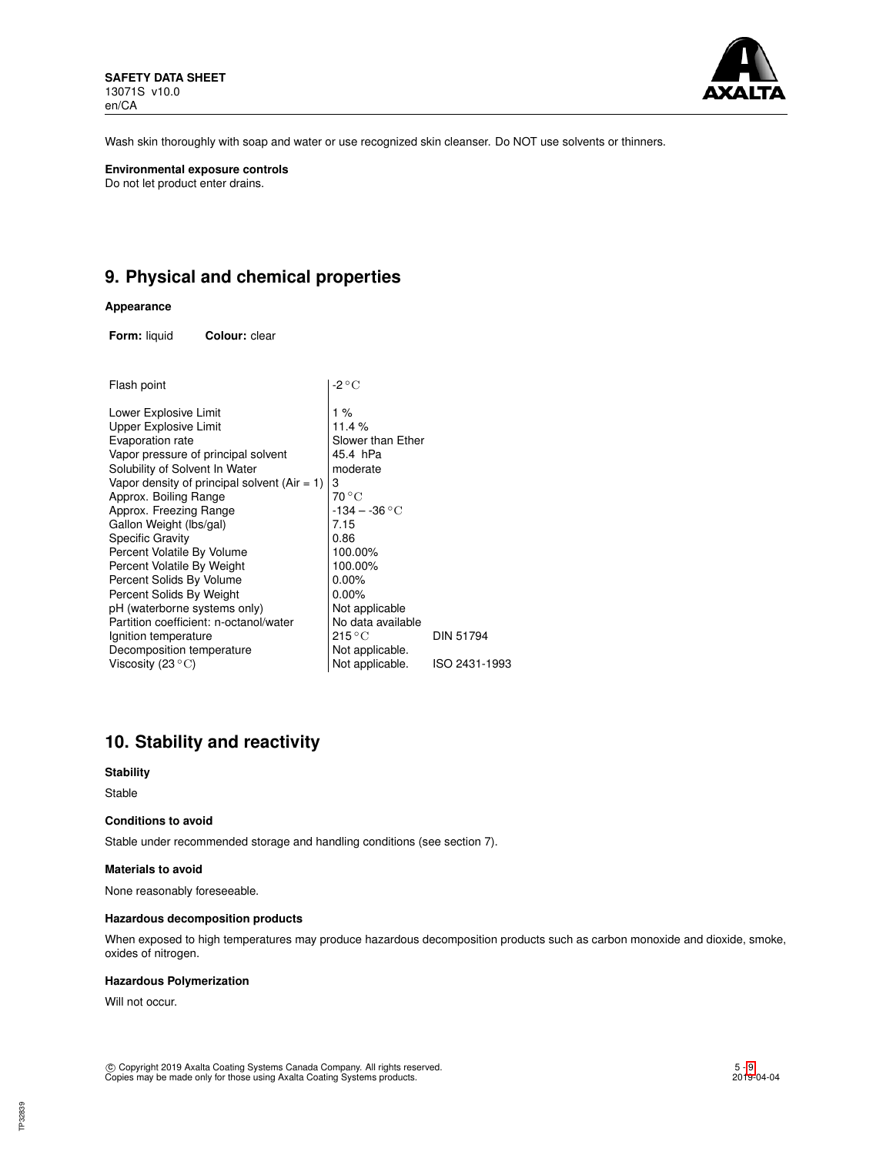

Wash skin thoroughly with soap and water or use recognized skin cleanser. Do NOT use solvents or thinners.

**Environmental exposure controls** Do not let product enter drains.

## **9. Physical and chemical properties**

### **Appearance**

**Form:** liquid **Colour:** clear

| Flash point                                    | -2 ° C                    |                  |
|------------------------------------------------|---------------------------|------------------|
| Lower Explosive Limit                          | 1%                        |                  |
| Upper Explosive Limit                          | 11.4%                     |                  |
| Evaporation rate                               | Slower than Ether         |                  |
| Vapor pressure of principal solvent            | 45.4 hPa                  |                  |
| Solubility of Solvent In Water                 | moderate                  |                  |
| Vapor density of principal solvent $(Air = 1)$ | 3                         |                  |
| Approx. Boiling Range                          | $70^{\circ}$ C            |                  |
| Approx. Freezing Range                         | $-134 - -36$ °C           |                  |
| Gallon Weight (lbs/gal)                        | 7.15                      |                  |
| Specific Gravity                               | 0.86                      |                  |
| Percent Volatile By Volume                     | 100.00%                   |                  |
| Percent Volatile By Weight                     | 100.00%                   |                  |
| Percent Solids By Volume                       | 0.00%                     |                  |
| Percent Solids By Weight                       | $0.00\%$                  |                  |
| pH (waterborne systems only)                   | Not applicable            |                  |
| Partition coefficient: n-octanol/water         | No data available         |                  |
| Ignition temperature                           | $215\,^{\circ}\mathrm{C}$ | <b>DIN 51794</b> |
| Decomposition temperature                      | Not applicable.           |                  |
| Viscosity (23 $^{\circ}{\rm C}$ )              | Not applicable.           | ISO 2431-1993    |
|                                                |                           |                  |

## **10. Stability and reactivity**

#### **Stability**

Stable

#### **Conditions to avoid**

Stable under recommended storage and handling conditions (see section 7).

#### **Materials to avoid**

None reasonably foreseeable.

#### **Hazardous decomposition products**

When exposed to high temperatures may produce hazardous decomposition products such as carbon monoxide and dioxide, smoke, oxides of nitrogen.

#### **Hazardous Polymerization**

Will not occur.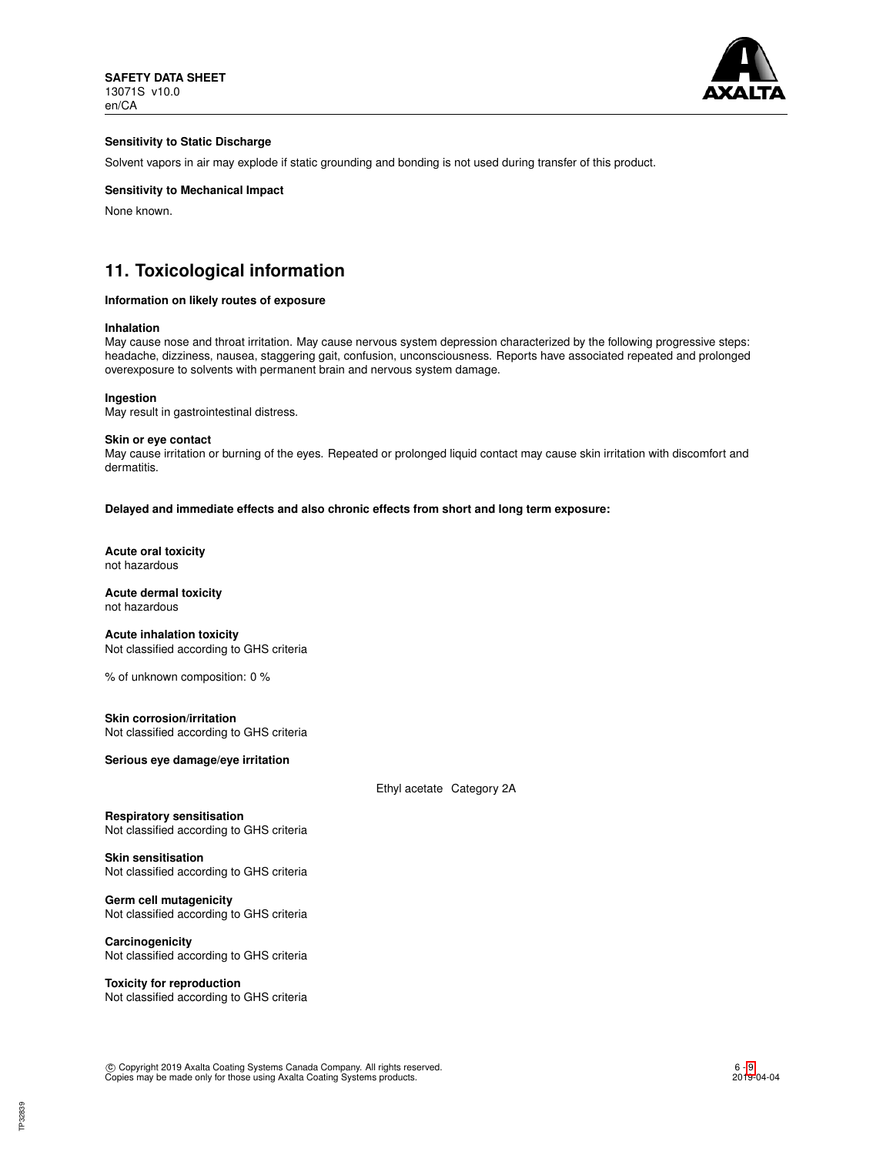

### **Sensitivity to Static Discharge**

Solvent vapors in air may explode if static grounding and bonding is not used during transfer of this product.

### **Sensitivity to Mechanical Impact**

None known.

## **11. Toxicological information**

#### **Information on likely routes of exposure**

#### **Inhalation**

May cause nose and throat irritation. May cause nervous system depression characterized by the following progressive steps: headache, dizziness, nausea, staggering gait, confusion, unconsciousness. Reports have associated repeated and prolonged overexposure to solvents with permanent brain and nervous system damage.

**Ingestion**

May result in gastrointestinal distress.

#### **Skin or eye contact**

May cause irritation or burning of the eyes. Repeated or prolonged liquid contact may cause skin irritation with discomfort and dermatitis.

**Delayed and immediate effects and also chronic effects from short and long term exposure:**

**Acute oral toxicity** not hazardous

**Acute dermal toxicity** not hazardous

**Acute inhalation toxicity** Not classified according to GHS criteria

% of unknown composition: 0 %

**Skin corrosion/irritation** Not classified according to GHS criteria

**Serious eye damage/eye irritation**

Ethyl acetate Category 2A

**Respiratory sensitisation** Not classified according to GHS criteria

**Skin sensitisation** Not classified according to GHS criteria

**Germ cell mutagenicity** Not classified according to GHS criteria

**Carcinogenicity** Not classified according to GHS criteria

**Toxicity for reproduction** Not classified according to GHS criteria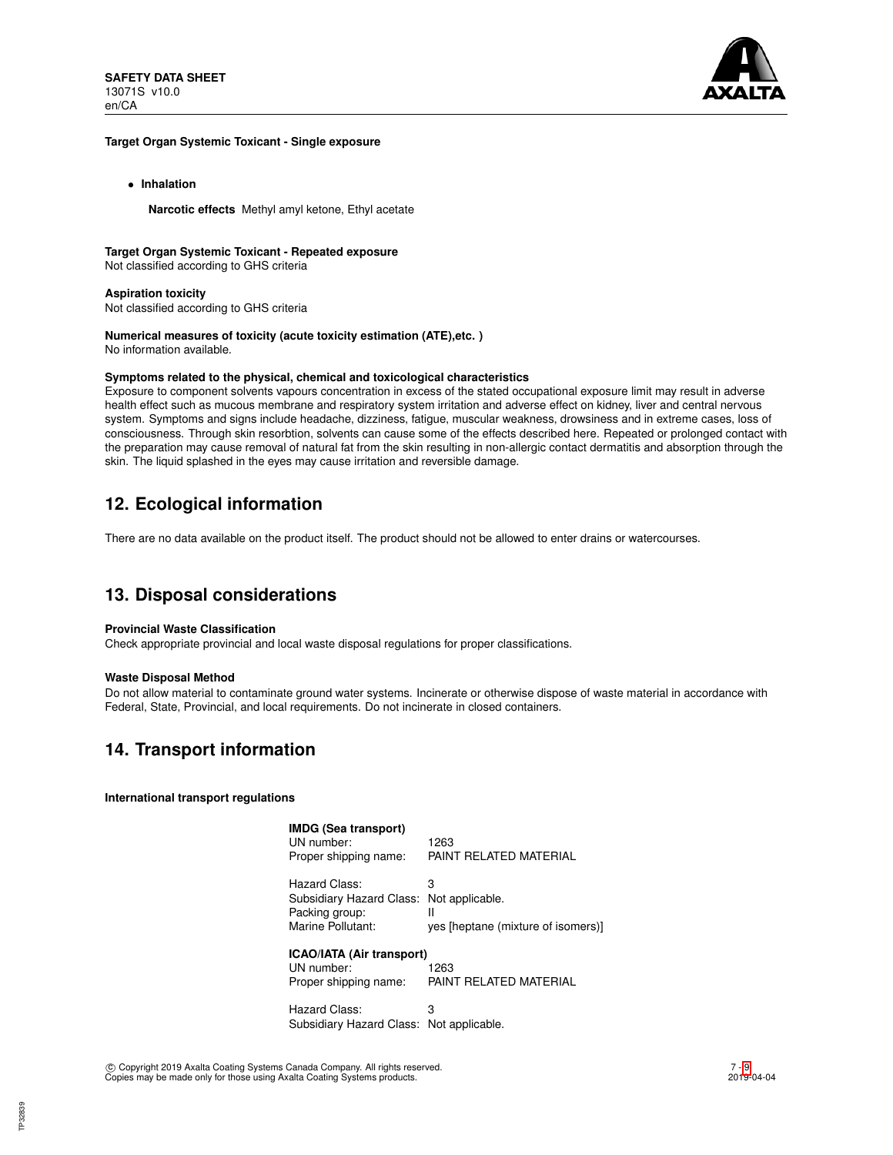

#### **Target Organ Systemic Toxicant - Single exposure**

• **Inhalation**

**Narcotic effects** Methyl amyl ketone, Ethyl acetate

## **Target Organ Systemic Toxicant - Repeated exposure**

Not classified according to GHS criteria

#### **Aspiration toxicity**

Not classified according to GHS criteria

# **Numerical measures of toxicity (acute toxicity estimation (ATE),etc. )**

No information available.

## **Symptoms related to the physical, chemical and toxicological characteristics**

Exposure to component solvents vapours concentration in excess of the stated occupational exposure limit may result in adverse health effect such as mucous membrane and respiratory system irritation and adverse effect on kidney, liver and central nervous system. Symptoms and signs include headache, dizziness, fatigue, muscular weakness, drowsiness and in extreme cases, loss of consciousness. Through skin resorbtion, solvents can cause some of the effects described here. Repeated or prolonged contact with the preparation may cause removal of natural fat from the skin resulting in non-allergic contact dermatitis and absorption through the skin. The liquid splashed in the eyes may cause irritation and reversible damage.

## **12. Ecological information**

There are no data available on the product itself. The product should not be allowed to enter drains or watercourses.

## **13. Disposal considerations**

### **Provincial Waste Classification**

Check appropriate provincial and local waste disposal regulations for proper classifications.

### **Waste Disposal Method**

Do not allow material to contaminate ground water systems. Incinerate or otherwise dispose of waste material in accordance with Federal, State, Provincial, and local requirements. Do not incinerate in closed containers.

## **14. Transport information**

### **International transport regulations**

**IMDG (Sea transport)**

UN number: 1263<br>Proper shipping name: PAIN PAINT RELATED MATERIAL

Hazard Class: 3 Subsidiary Hazard Class: Not applicable. Packing group: II Marine Pollutant: yes [heptane (mixture of isomers)]

**ICAO/IATA (Air transport)** UN number: 1263

Proper shipping name: PAINT RELATED MATERIAL

Hazard Class: 3 Subsidiary Hazard Class: Not applicable.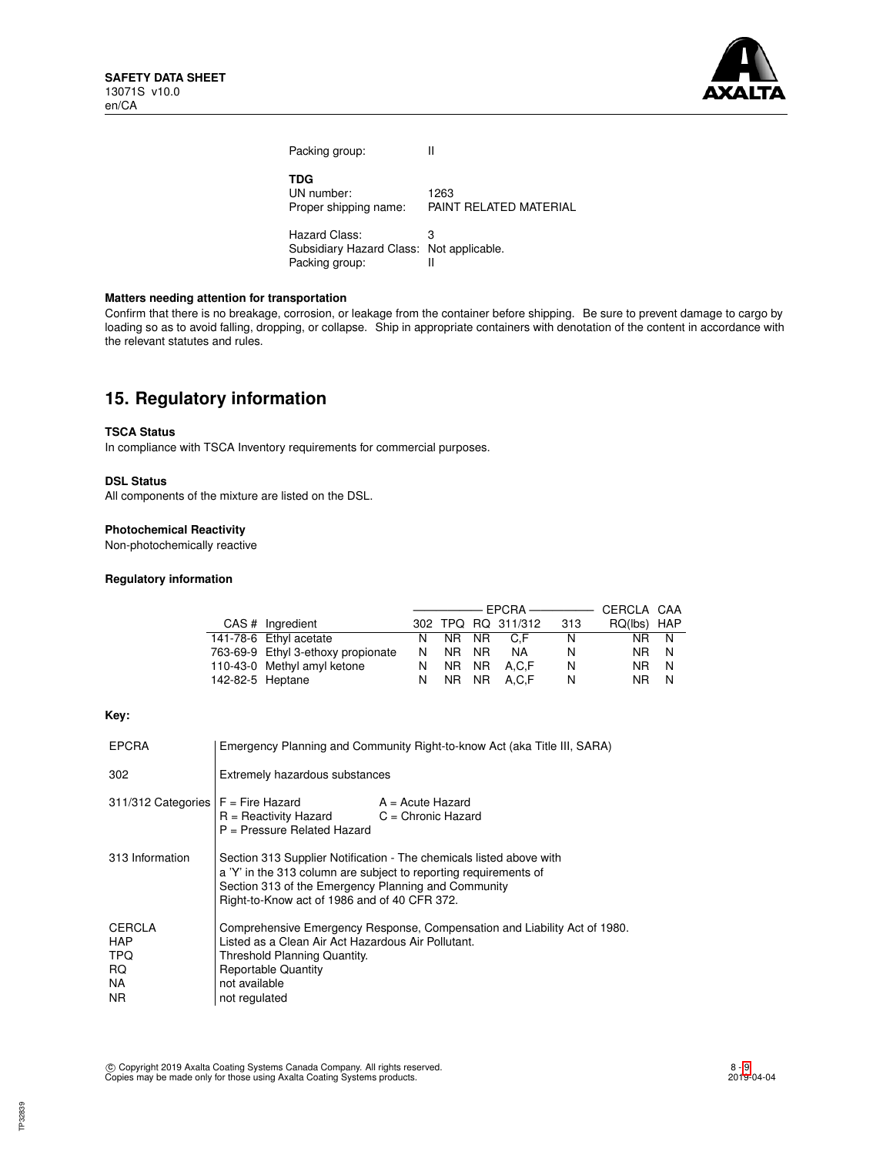

Packing group: II **TDG** UN number: 1263<br>Proper shipping name: PAIN PAINT RELATED MATERIAL Hazard Class: 3 Subsidiary Hazard Class: Not applicable.<br>Packing group: Il

Packing group:

### **Matters needing attention for transportation**

Confirm that there is no breakage, corrosion, or leakage from the container before shipping. Be sure to prevent damage to cargo by loading so as to avoid falling, dropping, or collapse. Ship in appropriate containers with denotation of the content in accordance with the relevant statutes and rules.

## **15. Regulatory information**

## **TSCA Status**

In compliance with TSCA Inventory requirements for commercial purposes.

#### **DSL Status**

All components of the mixture are listed on the DSL.

### **Photochemical Reactivity**

Non-photochemically reactive

#### **Regulatory information**

|                  |                                    | ———————————————————— |       |     | CERCLA CAA         |     |             |     |
|------------------|------------------------------------|----------------------|-------|-----|--------------------|-----|-------------|-----|
|                  | CAS # Ingredient                   |                      |       |     | 302 TPQ RQ 311/312 | 313 | RQ(lbs) HAP |     |
|                  | 141-78-6 Ethyl acetate             | N.                   | NR NR |     | C.F                | N   | NR.         | - N |
|                  | 763-69-9 Ethyl 3-ethoxy propionate | N.                   | NR.   | NR. | NA.                | N   | NR.         | -N  |
|                  | 110-43-0 Methyl amyl ketone        | N.                   | NR NR |     | A.C.F              | N   | NR.         | N   |
| 142-82-5 Heptane |                                    | N.                   |       |     | NR NR A.C.F        | N   | NR.         | N   |

#### **Key:**

| <b>EPCRA</b>                                                   | Emergency Planning and Community Right-to-know Act (aka Title III, SARA)                                                                                                                                                                       |                    |  |
|----------------------------------------------------------------|------------------------------------------------------------------------------------------------------------------------------------------------------------------------------------------------------------------------------------------------|--------------------|--|
| 302                                                            | Extremely hazardous substances                                                                                                                                                                                                                 |                    |  |
| $311/312$ Categories $F =$ Fire Hazard                         | $R =$ Reactivity Hazard $C =$ Chronic Hazard<br>P = Pressure Related Hazard                                                                                                                                                                    | $A = Acute$ Hazard |  |
| 313 Information                                                | Section 313 Supplier Notification - The chemicals listed above with<br>a 'Y' in the 313 column are subject to reporting requirements of<br>Section 313 of the Emergency Planning and Community<br>Right-to-Know act of 1986 and of 40 CFR 372. |                    |  |
| <b>CERCLA</b><br><b>HAP</b><br><b>TPQ</b><br>RQ.<br>NA.<br>NR. | Comprehensive Emergency Response, Compensation and Liability Act of 1980.<br>Listed as a Clean Air Act Hazardous Air Pollutant.<br>Threshold Planning Quantity.<br><b>Reportable Quantity</b><br>not available<br>not regulated                |                    |  |